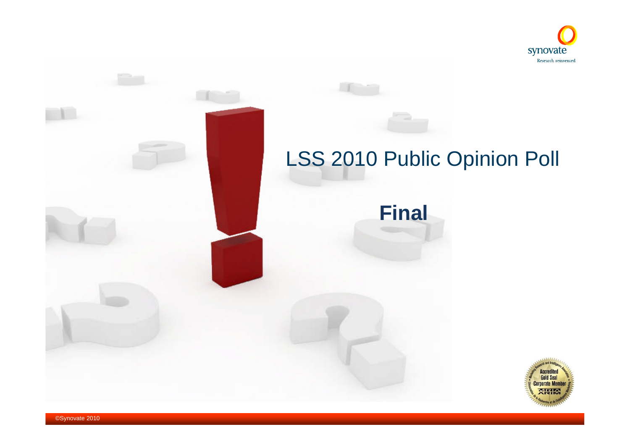

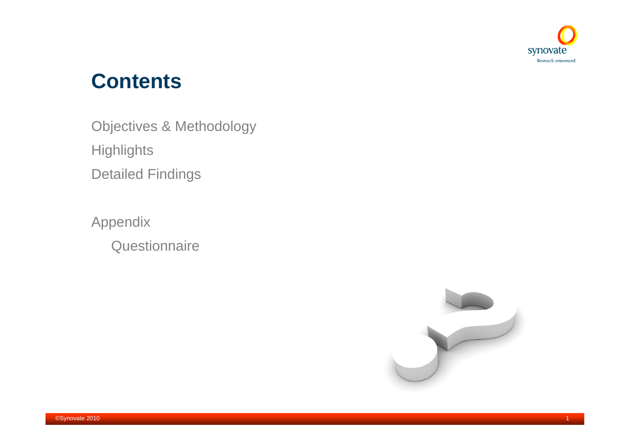

# **Contents**

Objectives & Methodology **Highlights** Detailed Findings

Appendix **Questionnaire** 

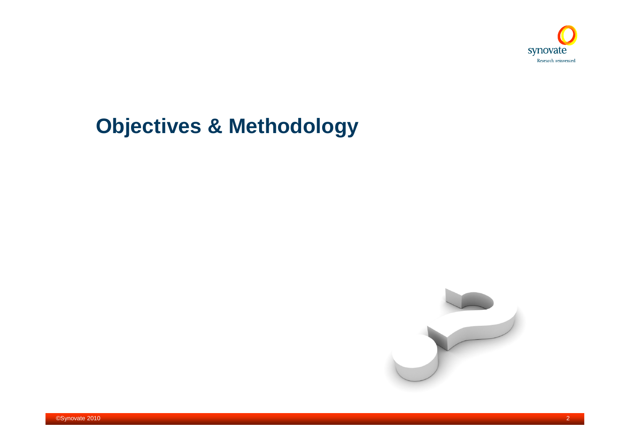

# **Objectives & Methodology**

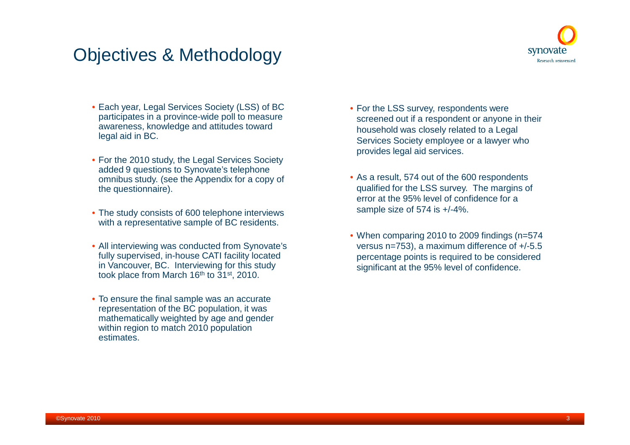## Objectives & Methodology



- Each year, Legal Services Society (LSS) of BC participates in a province-wide poll to measure awareness, knowledge and attitudes toward legal aid in BC.
- For the 2010 study, the Legal Services Society added 9 questions to Synovate's telephone omnibus study. (see the Appendix for a copy of the questionnaire).
- The study consists of 600 telephone interviews with a representative sample of BC residents.
- All interviewing was conducted from Synovate's fully supervised, in-house CATI facility located in Vancouver, BC. Interviewing for this study took place from March  $16<sup>th</sup>$  to  $31<sup>st</sup>$ , 2010.
- To ensure the final sample was an accurate representation of the BC population, it was mathematically weighted by age and gender within region to match 2010 population estimates.
- For the LSS survey, respondents were screened out if a respondent or anyone in their household was closely related to a Legal Services Society employee or a lawyer who provides legal aid services.
- As a result, 574 out of the 600 respondents qualified for the LSS survey. The margins of error at the 95% level of confidence for a sample size of 574 is +/-4%.
- When comparing 2010 to 2009 findings (n=574) versus n=753), a maximum difference of +/-5.5 percentage points is required to be considered significant at the 95% level of confidence.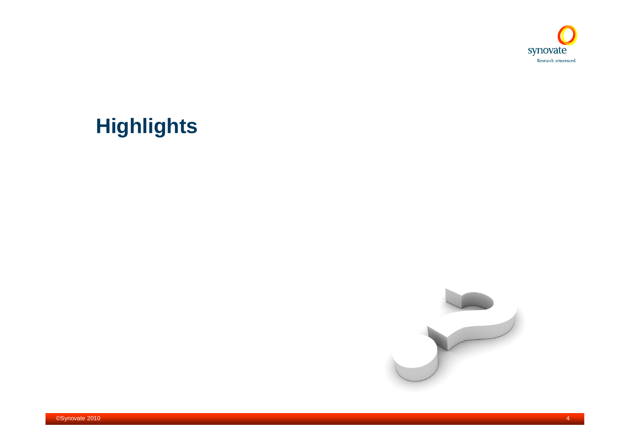

# **Highlights**

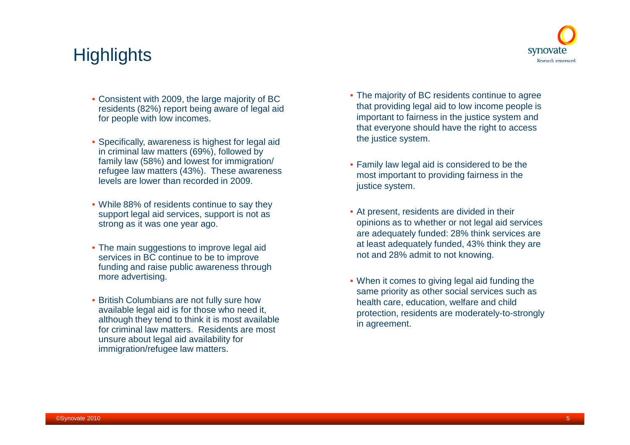## **Highlights**



- Consistent with 2009, the large majority of BC residents (82%) report being aware of legal aid for people with low incomes.
- Specifically, awareness is highest for legal aid in criminal law matters (69%), followed by family law (58%) and lowest for immigration/ refugee law matters (43%). These awareness levels are lower than recorded in 2009.
- While 88% of residents continue to say they support legal aid services, support is not as strong as it was one year ago.
- The main suggestions to improve legal aid services in BC continue to be to improve funding and raise public awareness through more advertising.
- British Columbians are not fully sure how available legal aid is for those who need it, although they tend to think it is most available for criminal law matters. Residents are most unsure about legal aid availability for immigration/refugee law matters.
- The majority of BC residents continue to agree that providing legal aid to low income people is important to fairness in the justice system and that everyone should have the right to access the justice system.
- Family law legal aid is considered to be the most important to providing fairness in the justice system.
- At present, residents are divided in their opinions as to whether or not legal aid services are adequately funded: 28% think services are at least adequately funded, 43% think they are not and 28% admit to not knowing.
- When it comes to giving legal aid funding the same priority as other social services such as health care, education, welfare and child protection, residents are moderately-to-strongly in agreement.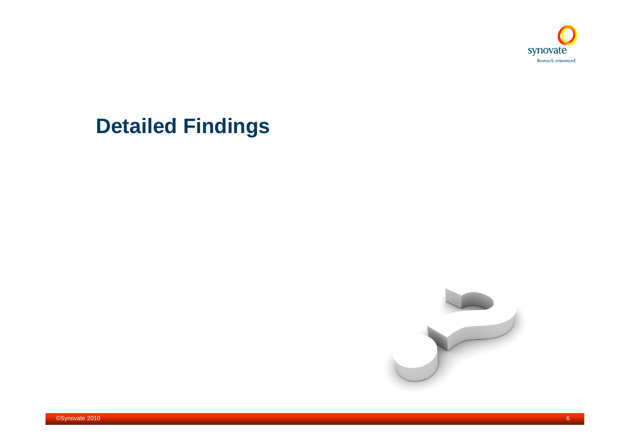

# **Detailed Findings**



6©Synovate 2010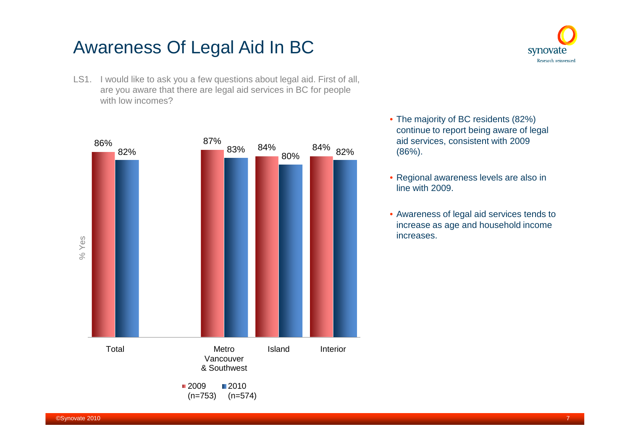## Awareness Of Legal Aid In BC





• The majority of BC residents (82%) continue to report being aware of legal aid services, consistent with 2009 (86%).

synovate Research reinvented

- Regional awareness levels are also in line with 2009.
- Awareness of legal aid services tends to increase as age and household income increases.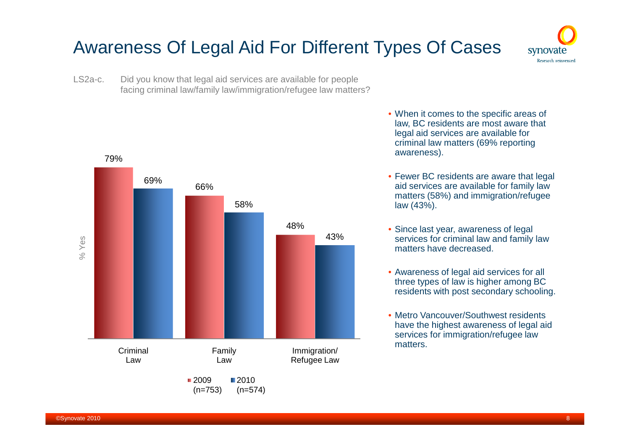# Awareness Of Legal Aid For Different Types Of Cases



LS2a-c. Did you know that legal aid services are available for people facing criminal law/family law/immigration/refugee law matters?



- When it comes to the specific areas of law, BC residents are most aware that legal aid services are available for criminal law matters (69% reporting awareness).
- Fewer BC residents are aware that legal aid services are available for family law matters (58%) and immigration/refugee law (43%).
- Since last year, awareness of legal services for criminal law and family law matters have decreased.
- Awareness of legal aid services for all three types of law is higher among BC residents with post secondary schooling.
- Metro Vancouver/Southwest residents have the highest awareness of legal aid services for immigration/refugee law matters.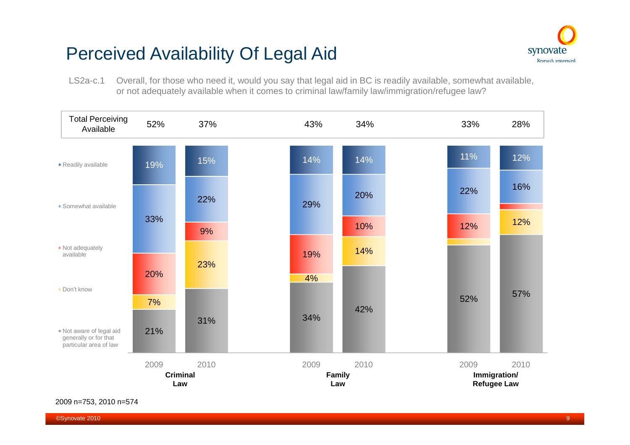# Perceived Availability Of Legal Aid



LS2a-c.1 Overall, for those who need it, would you say that legal aid in BC is readily available, somewhat available, or not adequately available when it comes to criminal law/family law/immigration/refugee law?



2009 n=753, 2010 n=574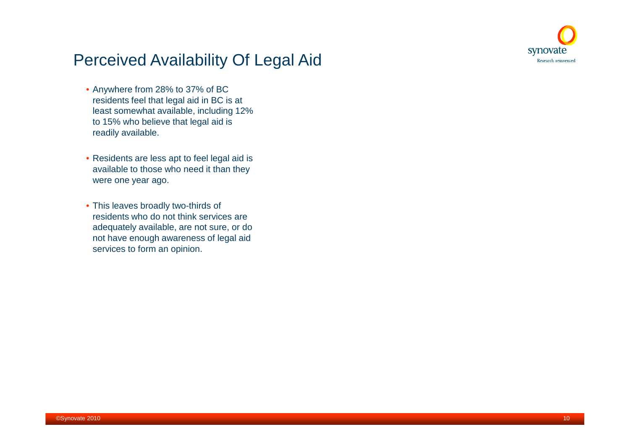

### Perceived Availability Of Legal Aid

- Anywhere from 28% to 37% of BC residents feel that legal aid in BC is at least somewhat available, including 12% to 15% who believe that legal aid is readily available.
- Residents are less apt to feel legal aid is available to those who need it than they were one year ago.
- This leaves broadly two-thirds of residents who do not think services are adequately available, are not sure, or do not have enough awareness of legal aid services to form an opinion.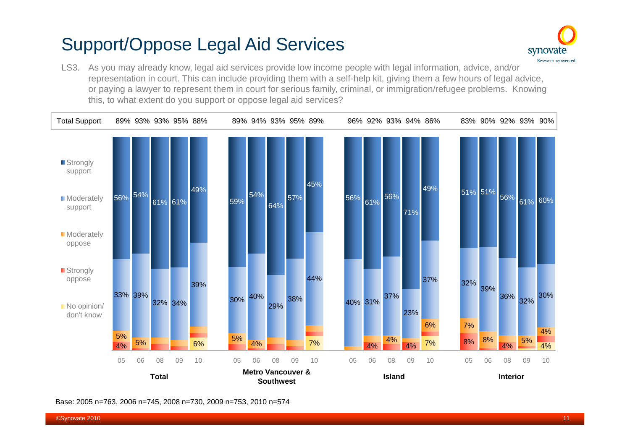# Support/Oppose Legal Aid Services



LS3. As you may already know, legal aid services provide low income people with legal information, advice, and/or representation in court. This can include providing them with a self-help kit, giving them a few hours of legal advice, or paying a lawyer to represent them in court for serious family, criminal, or immigration/refugee problems. Knowing this, to what extent do you support or oppose legal aid services?



Base: 2005 n=763, 2006 n=745, 2008 n=730, 2009 n=753, 2010 n=574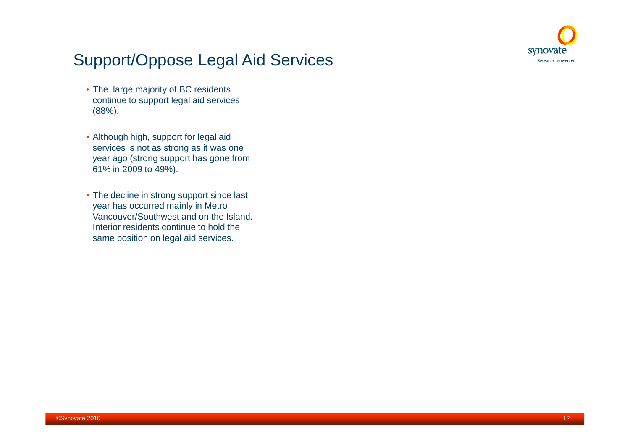

## Support/Oppose Legal Aid Services

- The large majority of BC residents continue to support legal aid services (88%).
- Although high, support for legal aid services is not as strong as it was one year ago (strong support has gone from 61% in 2009 to 49%).
- The decline in strong support since last year has occurred mainly in Metro Vancouver/Southwest and on the Island. Interior residents continue to hold the same position on legal aid services.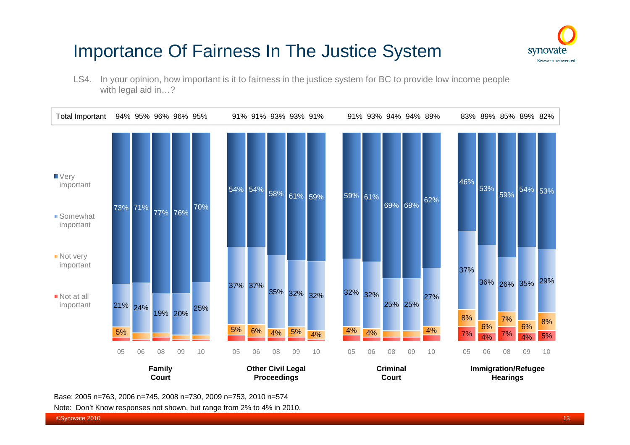# Importance Of Fairness In The Justice System



LS4. In your opinion, how important is it to fairness in the justice system for BC to provide low income people with legal aid in…?



Base: 2005 n=763, 2006 n=745, 2008 n=730, 2009 n=753, 2010 n=574

Note: Don't Know responses not shown, but range from 2% to 4% in 2010.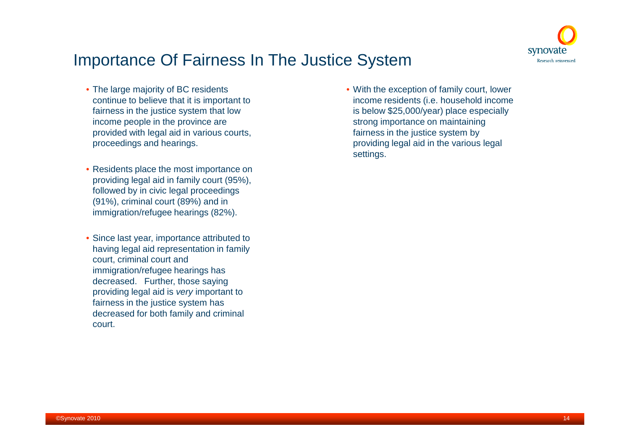

### Importance Of Fairness In The Justice System

- The large majority of BC residents continue to believe that it is important to fairness in the justice system that low income people in the province are provided with legal aid in various courts, proceedings and hearings.
- Residents place the most importance on providing legal aid in family court (95%), followed by in civic legal proceedings (91%), criminal court (89%) and in immigration/refugee hearings (82%).
- Since last year, importance attributed to having legal aid representation in family court, criminal court and immigration/refugee hearings has decreased. Further, those saying providing legal aid is *very* important to fairness in the justice system has decreased for both family and criminal court.

• With the exception of family court, lower income residents (i.e. household income is below \$25,000/year) place especially strong importance on maintaining fairness in the justice system by providing legal aid in the various legal settings.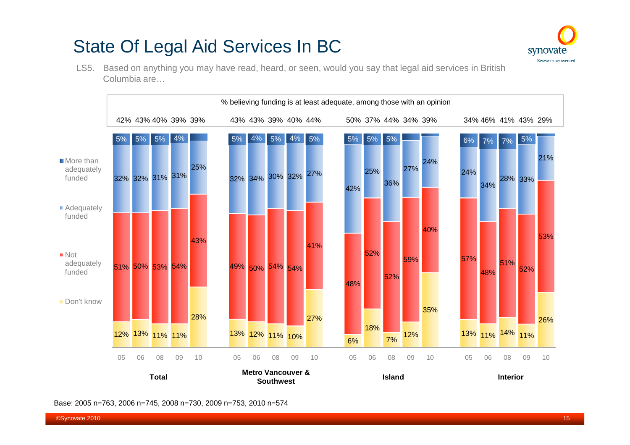# State Of Legal Aid Services In BC



LS5. Based on anything you may have read, heard, or seen, would you say that legal aid services in British Columbia are…



Base: 2005 n=763, 2006 n=745, 2008 n=730, 2009 n=753, 2010 n=574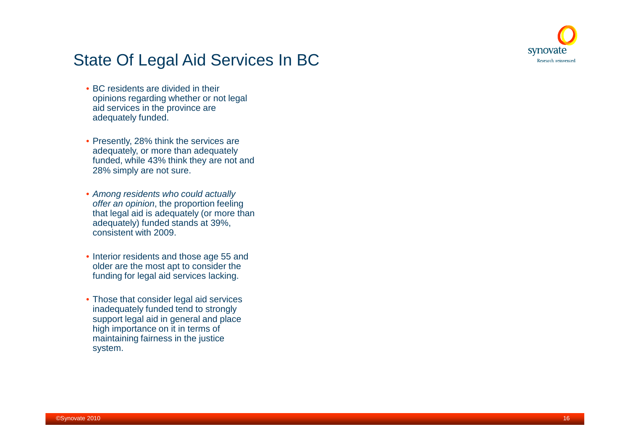

## State Of Legal Aid Services In BC

- BC residents are divided in their opinions regarding whether or not legal aid services in the province are adequately funded.
- Presently, 28% think the services are adequately, or more than adequately funded, while 43% think they are not and 28% simply are not sure.
- *Among residents who could actually offer an opinion*, the proportion feeling that legal aid is adequately (or more than adequately) funded stands at 39%, consistent with 2009.
- Interior residents and those age 55 and older are the most apt to consider the funding for legal aid services lacking.
- Those that consider legal aid services inadequately funded tend to strongly support legal aid in general and place high importance on it in terms of maintaining fairness in the justice system.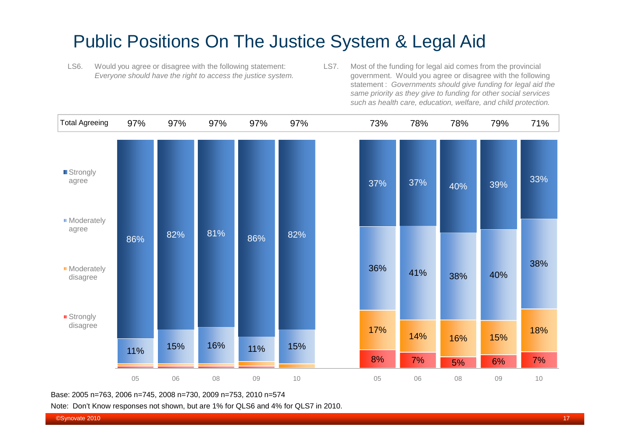## Public Positions On The Justice System & Legal Aid

- LS6. Would you agree or disagree with the following statement: *Everyone should have the right to access the justice system.*
- LS7. Most of the funding for legal aid comes from the provincial government. Would you agree or disagree with the following statement : *Governments should give funding for legal aid the same priority as they give to funding for other social services such as health care, education, welfare, and child protection.*



Base: 2005 n=763, 2006 n=745, 2008 n=730, 2009 n=753, 2010 n=574

Note: Don't Know responses not shown, but are 1% for QLS6 and 4% for QLS7 in 2010.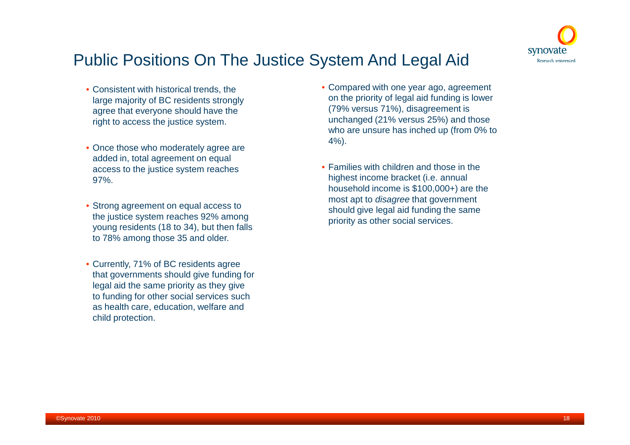

### Public Positions On The Justice System And Legal Aid

- Consistent with historical trends, the large majority of BC residents strongly agree that everyone should have the right to access the justice system.
- Once those who moderately agree are added in, total agreement on equal access to the justice system reaches 97%.
- Strong agreement on equal access to the justice system reaches 92% among young residents (18 to 34), but then falls to 78% among those 35 and older.
- Currently, 71% of BC residents agree that governments should give funding for legal aid the same priority as they give to funding for other social services such as health care, education, welfare and child protection.
- Compared with one year ago, agreement on the priority of legal aid funding is lower (79% versus 71%), disagreement is unchanged (21% versus 25%) and those who are unsure has inched up (from 0% to 4%).
- Families with children and those in the highest income bracket (i.e. annual household income is \$100,000+) are the most apt to *disagree* that government should give legal aid funding the same priority as other social services.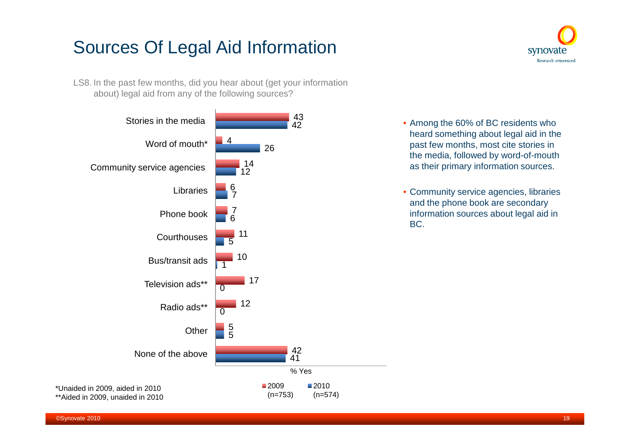# Sources Of Legal Aid Information

LS8. In the past few months, did you hear about (get your information about) legal aid from any of the following sources?





- Among the 60% of BC residents who heard something about legal aid in the past few months, most cite stories in the media, followed by word-of-mouth as their primary information sources.
- Community service agencies, libraries and the phone book are secondary information sources about legal aid in BC.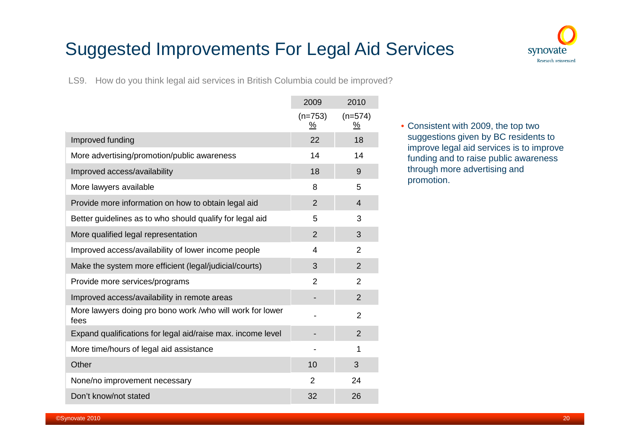# Suggested Improvements For Legal Aid Services



LS9. How do you think legal aid services in British Columbia could be improved?

|                                                                   | 2009                               | 2010                               |
|-------------------------------------------------------------------|------------------------------------|------------------------------------|
|                                                                   | $(n=753)$<br>$\frac{\%}{\sqrt{2}}$ | $(n=574)$<br>$\frac{\%}{\sqrt{2}}$ |
| Improved funding                                                  | 22                                 | 18                                 |
| More advertising/promotion/public awareness                       | 14                                 | 14                                 |
| Improved access/availability                                      | 18                                 | 9                                  |
| More lawyers available                                            | 8                                  | 5                                  |
| Provide more information on how to obtain legal aid               | $\overline{2}$                     | 4                                  |
| Better guidelines as to who should qualify for legal aid          | 5                                  | 3                                  |
| More qualified legal representation                               | $\overline{2}$                     | 3                                  |
| Improved access/availability of lower income people               | 4                                  | $\overline{2}$                     |
| Make the system more efficient (legal/judicial/courts)            | 3                                  | $\overline{2}$                     |
| Provide more services/programs                                    | $\overline{2}$                     | $\overline{2}$                     |
| Improved access/availability in remote areas                      |                                    | $\overline{2}$                     |
| More lawyers doing pro bono work /who will work for lower<br>fees |                                    | $\overline{2}$                     |
| Expand qualifications for legal aid/raise max. income level       |                                    | $\overline{2}$                     |
| More time/hours of legal aid assistance                           |                                    | 1                                  |
| Other                                                             | 10                                 | 3                                  |
| None/no improvement necessary                                     | $\overline{2}$                     | 24                                 |
| Don't know/not stated                                             | 32                                 | 26                                 |

• Consistent with 2009, the top two suggestions given by BC residents to improve legal aid services is to improve funding and to raise public awareness through more advertising and promotion.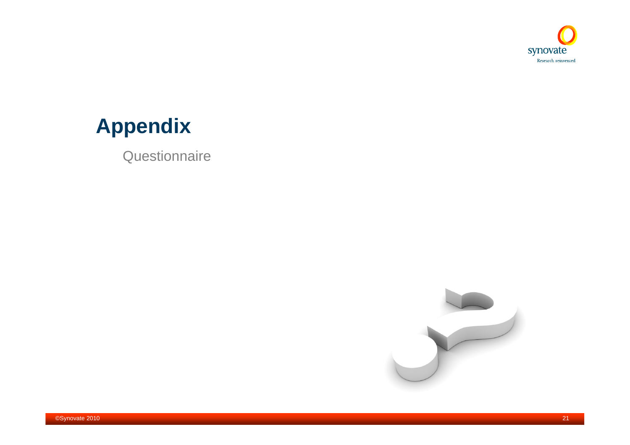

# **Appendix**

**Questionnaire** 

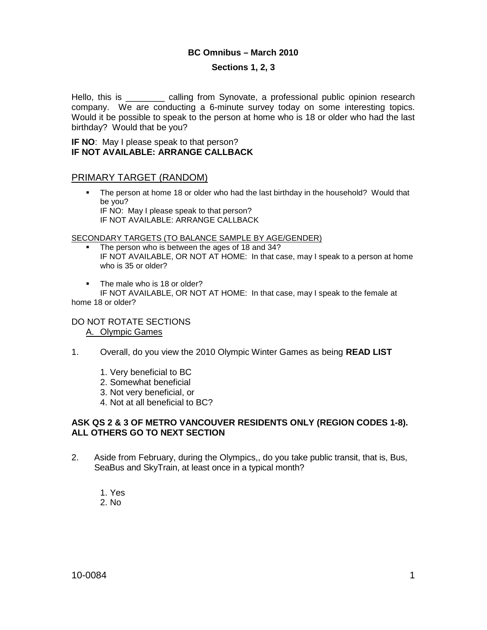### **BC Omnibus – March 2010**

### **Sections 1, 2, 3**

Hello, this is \_\_\_\_\_\_\_\_ calling from Synovate, a professional public opinion research company. We are conducting a 6-minute survey today on some interesting topics. Would it be possible to speak to the person at home who is 18 or older who had the last birthday? Would that be you?

#### **IF NO**: May I please speak to that person? **IF NOT AVAILABLE: ARRANGE CALLBACK**

### PRIMARY TARGET (RANDOM)

 The person at home 18 or older who had the last birthday in the household? Would that be you? IF NO: May I please speak to that person? IF NOT AVAILABLE: ARRANGE CALLBACK

SECONDARY TARGETS (TO BALANCE SAMPLE BY AGE/GENDER)

- The person who is between the ages of 18 and 34? IF NOT AVAILABLE, OR NOT AT HOME: In that case, may I speak to a person at home who is 35 or older?
- **The male who is 18 or older?**

IF NOT AVAILABLE, OR NOT AT HOME: In that case, may I speak to the female at home 18 or older?

### DO NOT ROTATE SECTIONS A. Olympic Games

- 1. Overall, do you view the 2010 Olympic Winter Games as being **READ LIST**
	- 1. Very beneficial to BC
	- 2. Somewhat beneficial
	- 3. Not very beneficial, or
	- 4. Not at all beneficial to BC?

### **ASK QS 2 & 3 OF METRO VANCOUVER RESIDENTS ONLY (REGION CODES 1-8). ALL OTHERS GO TO NEXT SECTION**

- 2. Aside from February, during the Olympics,, do you take public transit, that is, Bus, SeaBus and SkyTrain, at least once in a typical month?
	- 1. Yes 2. No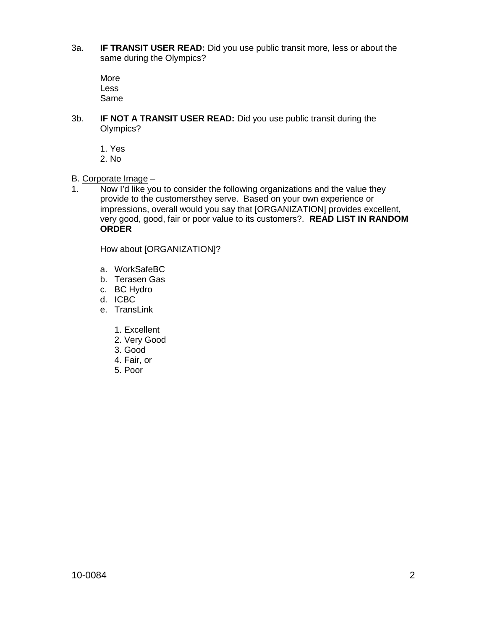3a. **IF TRANSIT USER READ:** Did you use public transit more, less or about the same during the Olympics?

More Less Same

- 3b. **IF NOT A TRANSIT USER READ:** Did you use public transit during the Olympics?
	- 1. Yes
	- 2. No
- B. Corporate Image –
- 1. Now I'd like you to consider the following organizations and the value they provide to the customersthey serve. Based on your own experience or impressions, overall would you say that [ORGANIZATION] provides excellent, very good, good, fair or poor value to its customers?. **READ LIST IN RANDOM ORDER**

How about [ORGANIZATION]?

- a. WorkSafeBC
- b. Terasen Gas
- c. BC Hydro
- d. ICBC
- e. TransLink
	- 1. Excellent
	- 2. Very Good
	- 3. Good
	- 4. Fair, or
	- 5. Poor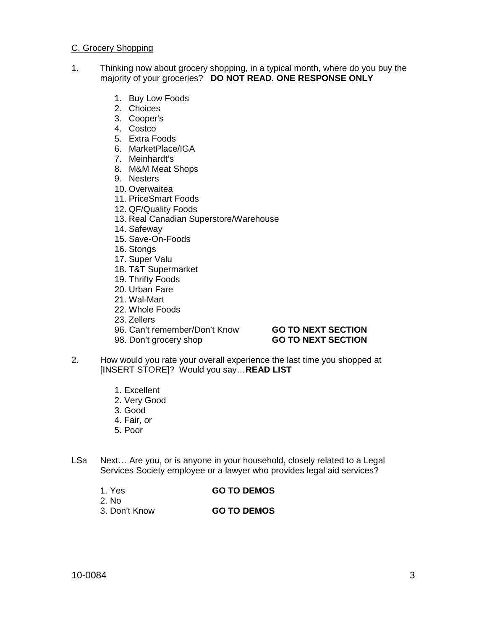#### C. Grocery Shopping

- 1. Thinking now about grocery shopping, in a typical month, where do you buy the majority of your groceries? **DO NOT READ. ONE RESPONSE ONLY**
	- 1. Buy Low Foods
	- 2. Choices
	- 3. Cooper's
	- 4. Costco
	- 5. Extra Foods
	- 6. MarketPlace/IGA
	- 7. Meinhardt's
	- 8. M&M Meat Shops
	- 9. Nesters
	- 10. Overwaitea
	- 11. PriceSmart Foods
	- 12. QF/Quality Foods
	- 13. Real Canadian Superstore/Warehouse
	- 14. Safeway
	- 15. Save-On-Foods
	- 16. Stongs
	- 17. Super Valu
	- 18. T&T Supermarket
	- 19. Thrifty Foods
	- 20. Urban Fare
	- 21. Wal-Mart
	- 22. Whole Foods
	- 23. Zellers
	- 96. Can't remember/Don't Know **GO TO NEXT SECTION**
	-

## 98. Don't grocery shop **GO TO NEXT SECTION**

- 2. How would you rate your overall experience the last time you shopped at [INSERT STORE]? Would you say…**READ LIST**
	- 1. Excellent
	- 2. Very Good
	- 3. Good
	- 4. Fair, or
	- 5. Poor
- LSa Next… Are you, or is anyone in your household, closely related to a Legal Services Society employee or a lawyer who provides legal aid services?
	- 1. Yes **GO TO DEMOS**
	- 2. No
- 
- 3. Don't Know **GO TO DEMOS**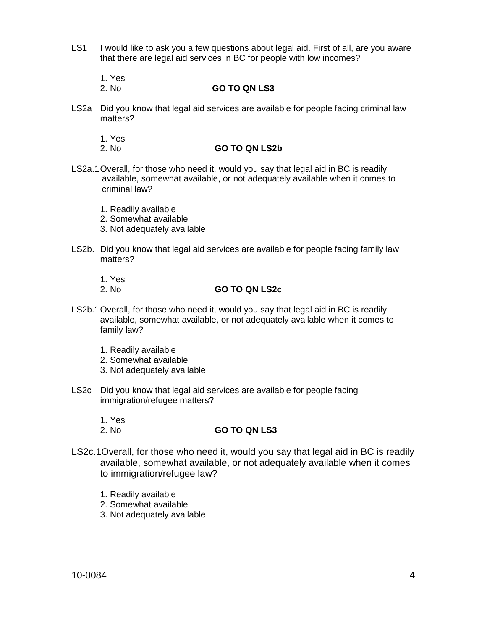- LS1 I would like to ask you a few questions about legal aid. First of all, are you aware that there are legal aid services in BC for people with low incomes?
	- 1. Yes
	- 2. No **GO TO QN LS3**
- LS2a Did you know that legal aid services are available for people facing criminal law matters?
	- 1. Yes
	- 2. No **GO TO QN LS2b**
- LS2a.1Overall, for those who need it, would you say that legal aid in BC is readily available, somewhat available, or not adequately available when it comes to criminal law?
	- 1. Readily available
	- 2. Somewhat available
	- 3. Not adequately available
- LS2b. Did you know that legal aid services are available for people facing family law matters?
	-
	- 1. Yes
		- 2. No **GO TO QN LS2c**
- LS2b.1Overall, for those who need it, would you say that legal aid in BC is readily available, somewhat available, or not adequately available when it comes to family law?
	- 1. Readily available
	- 2. Somewhat available
	- 3. Not adequately available
- LS2c Did you know that legal aid services are available for people facing immigration/refugee matters?
	- 1. Yes

### 2. No **GO TO QN LS3**

- LS2c.1Overall, for those who need it, would you say that legal aid in BC is readily available, somewhat available, or not adequately available when it comes to immigration/refugee law?
	- 1. Readily available
	- 2. Somewhat available
	- 3. Not adequately available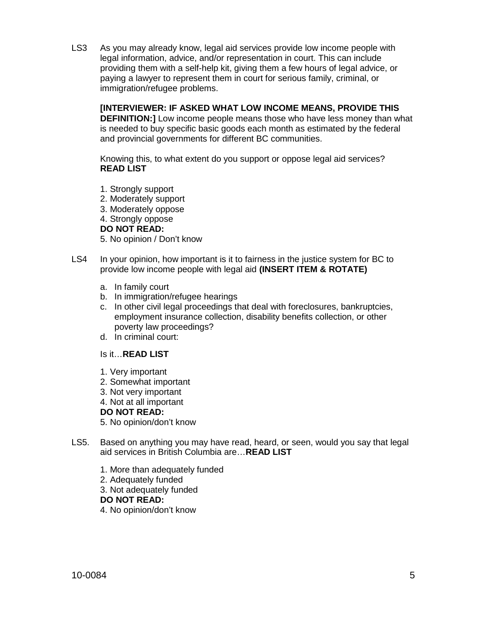LS3 As you may already know, legal aid services provide low income people with legal information, advice, and/or representation in court. This can include providing them with a self-help kit, giving them a few hours of legal advice, or paying a lawyer to represent them in court for serious family, criminal, or immigration/refugee problems.

**[INTERVIEWER: IF ASKED WHAT LOW INCOME MEANS, PROVIDE THIS DEFINITION:]** Low income people means those who have less money than what is needed to buy specific basic goods each month as estimated by the federal and provincial governments for different BC communities.

Knowing this, to what extent do you support or oppose legal aid services? **READ LIST**

- 1. Strongly support
- 2. Moderately support
- 3. Moderately oppose
- 4. Strongly oppose

### **DO NOT READ:**

- 5. No opinion / Don't know
- LS4 In your opinion, how important is it to fairness in the justice system for BC to provide low income people with legal aid **(INSERT ITEM & ROTATE)**
	- a. In family court
	- b. In immigration/refugee hearings
	- c. In other civil legal proceedings that deal with foreclosures, bankruptcies, employment insurance collection, disability benefits collection, or other poverty law proceedings?
	- d. In criminal court:

### Is it…**READ LIST**

- 1. Very important
- 2. Somewhat important
- 3. Not very important
- 4. Not at all important

**DO NOT READ:**

5. No opinion/don't know

- LS5. Based on anything you may have read, heard, or seen, would you say that legal aid services in British Columbia are…**READ LIST**
	- 1. More than adequately funded
	- 2. Adequately funded

3. Not adequately funded

### **DO NOT READ:**

4. No opinion/don't know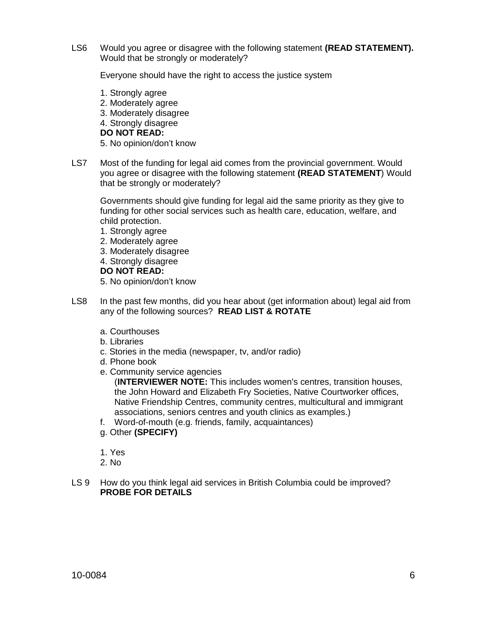LS6 Would you agree or disagree with the following statement **(READ STATEMENT).** Would that be strongly or moderately?

Everyone should have the right to access the justice system

- 1. Strongly agree 2. Moderately agree 3. Moderately disagree 4. Strongly disagree **DO NOT READ:** 5. No opinion/don't know
- LS7 Most of the funding for legal aid comes from the provincial government. Would you agree or disagree with the following statement **(READ STATEMENT**) Would that be strongly or moderately?

Governments should give funding for legal aid the same priority as they give to funding for other social services such as health care, education, welfare, and child protection.

- 1. Strongly agree
- 2. Moderately agree
- 3. Moderately disagree
- 4. Strongly disagree

### **DO NOT READ:**

5. No opinion/don't know

- LS8 In the past few months, did you hear about (get information about) legal aid from any of the following sources? **READ LIST & ROTATE**
	- a. Courthouses
	- b. Libraries
	- c. Stories in the media (newspaper, tv, and/or radio)
	- d. Phone book
	- e. Community service agencies

(**INTERVIEWER NOTE:** This includes women's centres, transition houses, the John Howard and Elizabeth Fry Societies, Native Courtworker offices, Native Friendship Centres, community centres, multicultural and immigrant associations, seniors centres and youth clinics as examples.)

- f. Word-of-mouth (e.g. friends, family, acquaintances)
- g. Other **(SPECIFY)**
- 1. Yes
- 2. No
- LS 9 How do you think legal aid services in British Columbia could be improved? **PROBE FOR DETAILS**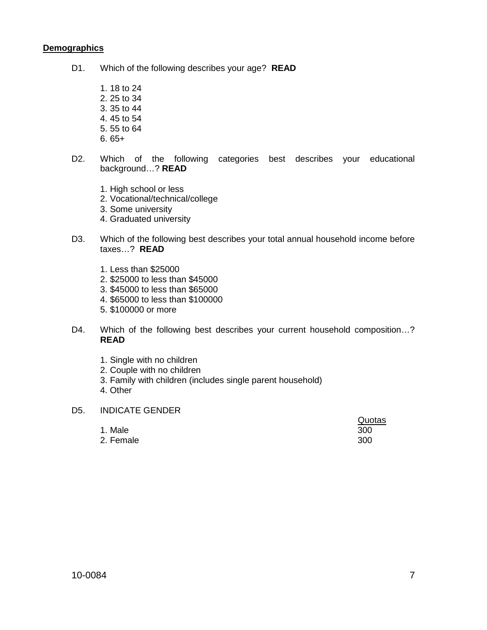### **Demographics**

- D1. Which of the following describes your age? **READ**
	- 1. 18 to 24 2. 25 to 34 3. 35 to 44 4. 45 to 54
	- 5. 55 to 64
	- 6. 65+
- D2. Which of the following categories best describes your educational background…? **READ**
	- 1. High school or less
	- 2. Vocational/technical/college
	- 3. Some university
	- 4. Graduated university
- D3. Which of the following best describes your total annual household income before taxes…? **READ**
	- 1. Less than \$25000
	- 2. \$25000 to less than \$45000
	- 3. \$45000 to less than \$65000
	- 4. \$65000 to less than \$100000
	- 5. \$100000 or more
- D4. Which of the following best describes your current household composition...? **READ**
	- 1. Single with no children
	- 2. Couple with no children
	- 3. Family with children (includes single parent household)
	- 4. Other

#### D5. INDICATE GENDER

|           | wuuus |
|-----------|-------|
| 1. Male   | 300   |
| 2. Female | 300   |

Quotas